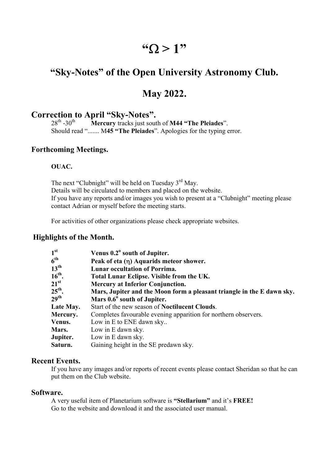# "  $\Omega > 1$ "

# "Sky-Notes" of the Open University Astronomy Club.

# May 2022.

# **Correction to April "Sky-Notes".**<br> $28<sup>th</sup> - 30<sup>th</sup>$  Mercury tracks just sout

**Mercury tracks just south of M44 "The Pleiades".** Should read "....... M45 "The Pleiades". Apologies for the typing error.

#### Forthcoming Meetings.

#### OUAC.

The next "Clubnight" will be held on Tuesday 3<sup>rd</sup> May. Details will be circulated to members and placed on the website. If you have any reports and/or images you wish to present at a "Clubnight" meeting please contact Adrian or myself before the meeting starts.

For activities of other organizations please check appropriate websites.

#### Highlights of the Month.

| 1 <sup>st</sup>    | Venus 0.2° south of Jupiter.                                           |
|--------------------|------------------------------------------------------------------------|
| $6^{\text{th}}$    | Peak of eta (η) Aquarids meteor shower.                                |
| $13^{\text{th}}$   | <b>Lunar occultation of Porrima.</b>                                   |
| $16th$ .           | Total Lunar Eclipse. Visible from the UK.                              |
| $21^{\rm st}$      | <b>Mercury at Inferior Conjunction.</b>                                |
| $25^{\text{th}}$ . | Mars, Jupiter and the Moon form a pleasant triangle in the E dawn sky. |
| 29 <sup>th</sup>   | Mars 0.6° south of Jupiter.                                            |
| Late May.          | Start of the new season of <b>Noctilucent Clouds</b> .                 |
| Mercury.           | Completes favourable evening apparition for northern observers.        |
| Venus.             | Low in E to ENE dawn sky                                               |
| Mars.              | Low in E dawn sky.                                                     |
| Jupiter.           | Low in E dawn sky.                                                     |
| Saturn.            | Gaining height in the SE predawn sky.                                  |

#### Recent Events.

If you have any images and/or reports of recent events please contact Sheridan so that he can put them on the Club website.

#### Software.

A very useful item of Planetarium software is "Stellarium" and it's FREE! Go to the website and download it and the associated user manual.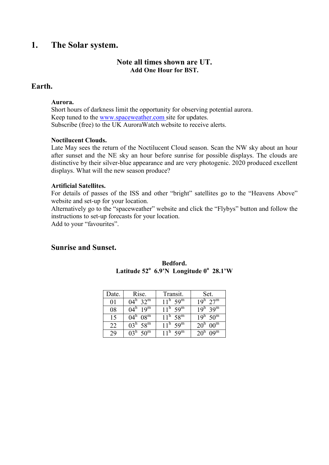## 1. The Solar system.

#### Note all times shown are UT. Add One Hour for BST.

#### Earth.

#### Aurora.

Short hours of darkness limit the opportunity for observing potential aurora. Keep tuned to the www.spaceweather.com site for updates. Subscribe (free) to the UK AuroraWatch website to receive alerts.

#### Noctilucent Clouds.

Late May sees the return of the Noctilucent Cloud season. Scan the NW sky about an hour after sunset and the NE sky an hour before sunrise for possible displays. The clouds are distinctive by their silver-blue appearance and are very photogenic. 2020 produced excellent displays. What will the new season produce?

#### Artificial Satellites.

For details of passes of the ISS and other "bright" satellites go to the "Heavens Above" website and set-up for your location.

Alternatively go to the "spaceweather" website and click the "Flybys" button and follow the instructions to set-up forecasts for your location.

Add to your "favourites".

#### Sunrise and Sunset.

| Date. | Rise.                        | Transit.                     | Set.                            |
|-------|------------------------------|------------------------------|---------------------------------|
| 01    | $04^{\rm h}$ 32 <sup>m</sup> | $11^{\rm h}$ 59 <sup>m</sup> | $19^h$ $27^m$                   |
| 08    | $04^{\rm h}$ 19 <sup>m</sup> | $11^{\rm h}$ 59 <sup>m</sup> | $19^h$ 39 <sup>m</sup>          |
| 15    | $04^{\rm h}$ $08^{\rm m}$    | $11^{\rm h}$ 58 <sup>m</sup> | $19^h$ 50 <sup>m</sup>          |
| 22    | $03^h$ 58 <sup>m</sup>       | $11^{\rm h}$ 59 <sup>m</sup> | $20^{\rm h}$ 00 <sup>m</sup>    |
| 29    | $03^h$ 50 <sup>m</sup>       | $11^{\rm h}$ 59 <sup>m</sup> | 20 <sup>n</sup> 09 <sup>m</sup> |

#### Bedford. Latitude  $52^{\circ}$  6.9'N Longitude  $0^{\circ}$  28.1'W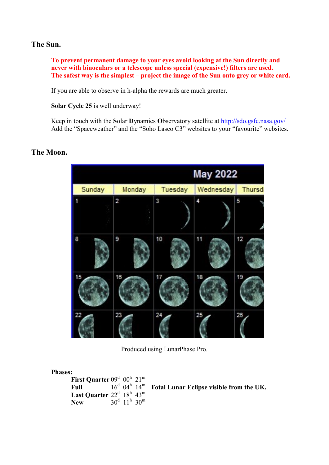#### The Sun.

To prevent permanent damage to your eyes avoid looking at the Sun directly and never with binoculars or a telescope unless special (expensive!) filters are used. The safest way is the simplest – project the image of the Sun onto grey or white card.

If you are able to observe in h-alpha the rewards are much greater.

Solar Cycle 25 is well underway!

Keep in touch with the Solar Dynamics Observatory satellite at http://sdo.gsfc.nasa.gov/ Add the "Spaceweather" and the "Soho Lasco C3" websites to your "favourite" websites.

# The Moon.



Produced using LunarPhase Pro.

| <b>Phases:</b>                     |  |                                              |                                                                                 |
|------------------------------------|--|----------------------------------------------|---------------------------------------------------------------------------------|
| First Quarter $09^d$ $00^h$ $21^m$ |  |                                              |                                                                                 |
| Full                               |  |                                              | $16^d$ 04 <sup>h</sup> 14 <sup>m</sup> Total Lunar Eclipse visible from the UK. |
| Last Quarter $22^d$ $18^h$ $43^m$  |  |                                              |                                                                                 |
| <b>New</b>                         |  | $30^{\rm d}$ 11 <sup>h</sup> 30 <sup>m</sup> |                                                                                 |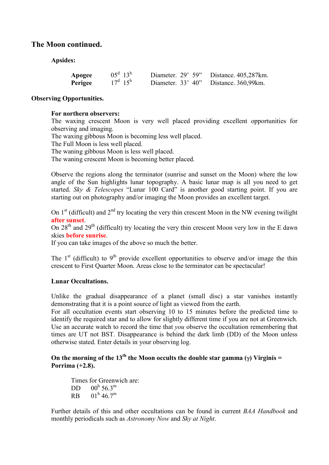#### The Moon continued.

Apsides:

| Apogee  | $05^d$ 13 <sup>h</sup> | Diameter. $29'$ 59" | Distance. 405,287km. |
|---------|------------------------|---------------------|----------------------|
| Perigee | $17^d$ $15^h$          | Diameter. $33'$ 40" | Distance. 360,99km.  |

#### Observing Opportunities.

#### For northern observers:

The waxing crescent Moon is very well placed providing excellent opportunities for observing and imaging.

The waxing gibbous Moon is becoming less well placed.

The Full Moon is less well placed.

The waning gibbous Moon is less well placed.

The waning crescent Moon is becoming better placed.

Observe the regions along the terminator (sunrise and sunset on the Moon) where the low angle of the Sun highlights lunar topography. A basic lunar map is all you need to get started. Sky & Telescopes "Lunar 100 Card" is another good starting point. If you are starting out on photography and/or imaging the Moon provides an excellent target.

On  $1<sup>st</sup>$  (difficult) and  $2<sup>nd</sup>$  try locating the very thin crescent Moon in the NW evening twilight after sunset.

On  $28<sup>th</sup>$  and  $29<sup>th</sup>$  (difficult) try locating the very thin crescent Moon very low in the E dawn skies before sunrise.

If you can take images of the above so much the better.

The  $1<sup>st</sup>$  (difficult) to  $9<sup>th</sup>$  provide excellent opportunities to observe and/or image the thin crescent to First Quarter Moon. Areas close to the terminator can be spectacular!

#### Lunar Occultations.

Unlike the gradual disappearance of a planet (small disc) a star vanishes instantly demonstrating that it is a point source of light as viewed from the earth.

For all occultation events start observing 10 to 15 minutes before the predicted time to identify the required star and to allow for slightly different time if you are not at Greenwich. Use an accurate watch to record the time that you observe the occultation remembering that times are UT not BST. Disappearance is behind the dark limb (DD) of the Moon unless otherwise stated. Enter details in your observing log.

On the morning of the 13<sup>th</sup> the Moon occults the double star gamma ( $\gamma$ ) Virginis = Porrima (+2.8).

Times for Greenwich are:  $\frac{DD}{RB}$  $00^{\rm h}$  56.3<sup>m</sup>  $RB$  01<sup>h</sup> 46.7<sup>m</sup>

Further details of this and other occultations can be found in current BAA Handbook and monthly periodicals such as Astronomy Now and Sky at Night.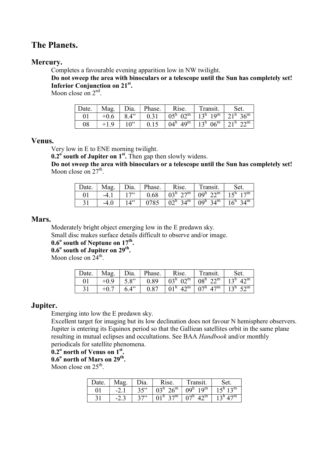# The Planets.

#### Mercury.

Completes a favourable evening apparition low in NW twilight.

Do not sweep the area with binoculars or a telescope until the Sun has completely set! Inferior Conjunction on 21<sup>st</sup>.

Moon close on  $2<sup>nd</sup>$ .

| $\perp$ Date. | Mag.   | $\mid$ Dia. | Phase. | Rise. | Transit.                                                                                                    | Set. |
|---------------|--------|-------------|--------|-------|-------------------------------------------------------------------------------------------------------------|------|
| 01            | $+0.6$ | 8.4"        |        |       | 0.31   $0.5^{\text{h}}$ 02 <sup>m</sup>   $13^{\text{h}}$ 19 <sup>m</sup>   $21^{\text{h}}$ 36 <sup>m</sup> |      |
| 08            | $+1.9$ | $10$ "      | 0.15   |       | $\vert 04^{\rm h} 49^{\rm m} \vert 13^{\rm h} 06^{\rm m} \vert 21^{\rm h} 22^{\rm m}$                       |      |

#### Venus.

Very low in E to ENE morning twilight.

 $0.2^\circ$  south of Jupiter on  $1^\text{st}$ . Then gap then slowly widens.

Do not sweep the area with binoculars or a telescope until the Sun has completely set! Moon close on  $27<sup>th</sup>$ .

| Date. |        |     | $\vert$ Mag. $\vert$ Dia. $\vert$ Phase. $\vert$ | Rise. | Transit.                                                                                                     | Set. |
|-------|--------|-----|--------------------------------------------------|-------|--------------------------------------------------------------------------------------------------------------|------|
| 01    | $-4.1$ | 17" |                                                  |       | $0.68$   $03^h$ $27^m$   $09^h$ $22^m$   $15^h$ $17^m$                                                       |      |
|       | $-4.0$ | 14" |                                                  |       | $0785$   $02^{\text{h}}$ 34 <sup>m</sup>   $09^{\text{h}}$ 34 <sup>m</sup>   $16^{\text{h}}$ 34 <sup>m</sup> |      |

#### Mars.

Moderately bright object emerging low in the E predawn sky.

Small disc makes surface details difficult to observe and/or image.

 $0.6^{\circ}$  south of Neptune on  $17^{\text{th}}$ .

 $0.6^{\circ}$  south of Jupiter on  $29^{\text{th}}$ .

Moon close on  $24^{\text{th}}$ .

| Date. |        |      | Mag. $\vert$ Dia. $\vert$ Phase. | Rise. | Transit.                                                                                                          | Set. |
|-------|--------|------|----------------------------------|-------|-------------------------------------------------------------------------------------------------------------------|------|
| 01    | $+0.9$ |      |                                  |       | 5.8"   0.89   03 <sup>h</sup> 02 <sup>m</sup>   08 <sup>h</sup> 22 <sup>m</sup>   13 <sup>h</sup> 42 <sup>m</sup> |      |
| 31    |        | 6.4" | 0.87                             |       | $101^{\rm h}$ 42 <sup>m</sup> $107^{\rm h}$ 47 <sup>m</sup> $13^{\rm h}$ 52 <sup>m</sup>                          |      |

#### Jupiter.

Emerging into low the E predawn sky.

Excellent target for imaging but its low declination does not favour N hemisphere observers. Jupiter is entering its Equinox period so that the Galliean satellites orbit in the same plane resulting in mutual eclipses and occultations. See BAA Handbook and/or monthly periodicals for satellite phenomena.

 $\overline{0.2}^{\circ}$  north of Venus on  $1^{\text{st}}$ .

 $0.6^{\circ}$  north of Mars on  $29^{\text{th}}$ .

Moon close on  $25^{\text{th}}$ .

| Date. | Mag    | Dia. | Rise.                          | Transit.                     | Set.                   |
|-------|--------|------|--------------------------------|------------------------------|------------------------|
| 01    | $-2.1$ | 35"  | $03^h 26^m$                    | $09^{\rm h}$ 19 <sup>m</sup> | $15^h$ 13 <sup>m</sup> |
|       | $-2.$  | 27   | $01^{\rm h}$ 27 <sup>m</sup> + | $07^{\rm h}$ 42 <sup>m</sup> | $13^h 47^m$            |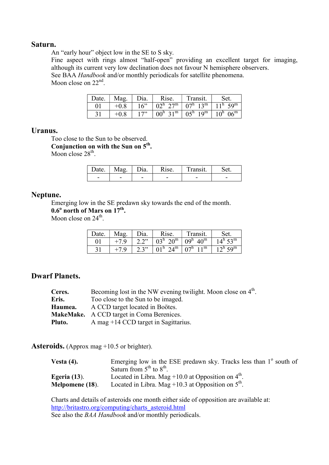#### Saturn.

An "early hour" object low in the SE to S sky.

Fine aspect with rings almost "half-open" providing an excellent target for imaging, although its current very low declination does not favour N hemisphere observers.

See BAA *Handbook* and/or monthly periodicals for satellite phenomena. Moon close on 22<sup>nd</sup>.

| Date. | Mag.   | Dia. | Rise. | Transit.                                                                                    | Set. |
|-------|--------|------|-------|---------------------------------------------------------------------------------------------|------|
|       | $+0.8$ | 16"  |       | $02^h$ $27^m$ $07^h$ $13^m$   $11^h$ $59^m$                                                 |      |
|       | $+0.8$ | 17"  |       | $\mid 00^{\rm h} \, 31^{\rm m} \mid 05^{\rm h} \, 19^{\rm m} \mid 10^{\rm h} \, 06^{\rm m}$ |      |

#### Uranus.

Too close to the Sun to be observed. Conjunction on with the Sun on  $5<sup>th</sup>$ . Moon close  $28<sup>th</sup>$ .

| )ate.                    | Mag                      | $\eta$ a.                | $1C \triangle$           | `ransıt. |                          |
|--------------------------|--------------------------|--------------------------|--------------------------|----------|--------------------------|
| $\overline{\phantom{0}}$ | $\overline{\phantom{a}}$ | $\overline{\phantom{0}}$ | $\overline{\phantom{a}}$ | -        | $\overline{\phantom{a}}$ |

#### Neptune.

Emerging low in the SE predawn sky towards the end of the month.

 $0.6^{\circ}$  north of Mars on  $17^{\text{th}}$ .

Moon close on  $24^{\text{th}}$ .

| Date. | Mag.   | Dia. | Rise.                        | Transit.                      | Set.                         |
|-------|--------|------|------------------------------|-------------------------------|------------------------------|
| 01    | $+7.9$ | 2.2" | $103^h$ $\overline{20^m}$ +  | $109^{\rm h}$ 40 <sup>m</sup> | $14^{\rm h}$ 53 <sup>m</sup> |
| 31    |        | 2.3" | $01^{\rm h}$ 24 <sup>m</sup> | $107^{\rm h}$ 11 <sup>m</sup> | $12^{\rm h}$ 59 <sup>m</sup> |

## Dwarf Planets.

| Ceres.  | Becoming lost in the NW evening twilight. Moon close on $4th$ . |
|---------|-----------------------------------------------------------------|
| Eris.   | Too close to the Sun to be imaged.                              |
| Haumea. | A CCD target located in Boötes.                                 |
|         | <b>MakeMake.</b> A CCD target in Coma Berenices.                |
| Pluto.  | A mag $+14$ CCD target in Sagittarius.                          |

Asteroids. (Approx mag +10.5 or brighter).

| Vesta $(4)$ .       | Emerging low in the ESE predawn sky. Tracks less than $1^\circ$ south of |
|---------------------|--------------------------------------------------------------------------|
|                     | Saturn from $5^{\text{th}}$ to $8^{\text{th}}$ .                         |
| <b>Egeria</b> (13). | Located in Libra. Mag $+10.0$ at Opposition on $4th$ .                   |
| Melpomene (18).     | Located in Libra. Mag +10.3 at Opposition on $5th$ .                     |

Charts and details of asteroids one month either side of opposition are available at: http://britastro.org/computing/charts\_asteroid.html See also the *BAA Handbook* and/or monthly periodicals.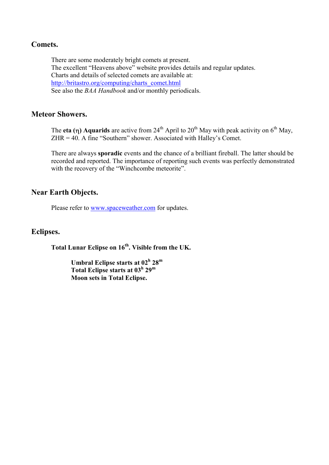#### Comets.

There are some moderately bright comets at present. The excellent "Heavens above" website provides details and regular updates. Charts and details of selected comets are available at: http://britastro.org/computing/charts\_comet.html See also the *BAA Handbook* and/or monthly periodicals.

#### Meteor Showers.

The eta ( $\eta$ ) Aquarids are active from 24<sup>th</sup> April to 20<sup>th</sup> May with peak activity on 6<sup>th</sup> May, ZHR = 40. A fine "Southern" shower. Associated with Halley's Comet.

There are always sporadic events and the chance of a brilliant fireball. The latter should be recorded and reported. The importance of reporting such events was perfectly demonstrated with the recovery of the "Winchcombe meteorite".

# Near Earth Objects.

Please refer to www.spaceweather.com for updates.

#### Eclipses.

Total Lunar Eclipse on 16<sup>th</sup>. Visible from the UK.

Umbral Eclipse starts at 02<sup>h</sup> 28<sup>m</sup> Total Eclipse starts at 03<sup>h</sup> 29<sup>m</sup> Moon sets in Total Eclipse.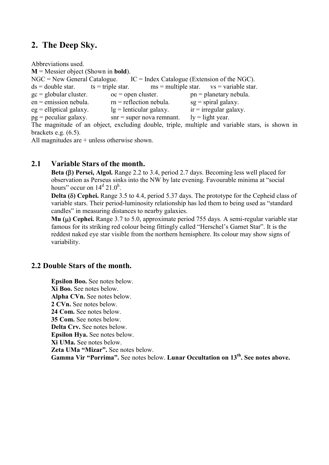# 2. The Deep Sky.

Abbreviations used.  $M =$  Messier object (Shown in **bold**).  $NGC = New General Catalogue.$  IC = Index Catalogue (Extension of the NGC).  $ds =$  double star. ts = triple star. ms = multiple star. vs = variable star.  $gc = globular cluster.$  oc = open cluster. pn = planetary nebula.  $en =$  emission nebula.  $rn =$  reflection nebula.  $sg =$  spiral galaxy.  $eg =$  elliptical galaxy.  $lg =$  lenticular galaxy.  $ir =$  irregular galaxy.  $pg =$  peculiar galaxy. snr = super nova remnant. ly = light year. The magnitude of an object, excluding double, triple, multiple and variable stars, is shown in brackets e.g. (6.5).

All magnitudes are + unless otherwise shown.

#### 2.1 Variable Stars of the month.

Beta  $(\beta)$  Persei, Algol. Range 2.2 to 3.4, period 2.7 days. Becoming less well placed for observation as Perseus sinks into the NW by late evening. Favourable minima at "social hours" occur on  $14^d$  21.0<sup>h</sup>.

Delta  $(\delta)$  Cephei. Range 3.5 to 4.4, period 5.37 days. The prototype for the Cepheid class of variable stars. Their period-luminosity relationship has led them to being used as "standard candles" in measuring distances to nearby galaxies.

Mu  $(\mu)$  Cephei. Range 3.7 to 5.0, approximate period 755 days. A semi-regular variable star famous for its striking red colour being fittingly called "Herschel's Garnet Star". It is the reddest naked eye star visible from the northern hemisphere. Its colour may show signs of variability.

#### 2.2 Double Stars of the month.

Epsilon Boo. See notes below. Xi Boo. See notes below. Alpha CVn. See notes below. 2 CVn. See notes below. 24 Com. See notes below. 35 Com. See notes below. Delta Crv. See notes below. Epsilon Hya. See notes below. Xi UMa. See notes below. Zeta UMa "Mizar". See notes below. Gamma Vir "Porrima". See notes below. Lunar Occultation on 13<sup>th</sup>. See notes above.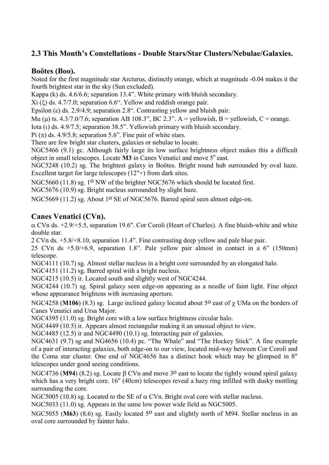# 2.3 This Month's Constellations - Double Stars/Star Clusters/Nebulae/Galaxies.

#### Boötes (Boo).

Noted for the first magnitude star Arcturus, distinctly orange, which at magnitude -0.04 makes it the fourth brightest star in the sky (Sun excluded).

Kappa (k) ds. 4.6/6.6; separation 13.4". White primary with bluish secondary.

 $Xi$  ( $\xi$ ) ds. 4.7/7.0; separation 6.6". Yellow and reddish orange pair.

Epsilon ( $\varepsilon$ ) ds. 2.9/4.9; separation 2.8". Contrasting yellow and bluish pair.

Mu ( $\mu$ ) ts. 4.3/7.0/7.6; separation AB 108.3", BC 2.3". A = yellowish, B = yellowish, C = orange.

Iota (t) ds. 4.9/7.5; separation 38.5". Yellowish primary with bluish secondary.

Pi  $(\pi)$  ds. 4.9/5.8; separation 5.6". Fine pair of white stars.

There are few bright star clusters, galaxies or nebulae to locate.

NGC5466 (9.1) gc. Although fairly large its low surface brightness object makes this a difficult object in small telescopes. Locate  $\overline{M3}$  in Canes Venatici and move  $5^\circ$  east.

NGC5248 (10.2) sg. The brightest galaxy in Boötes. Bright round hub surrounded by oval haze. Excellent target for large telescopes (12"+) from dark sites.

NGC5660 (11.8) sg. 1<sup>o</sup> NW of the brighter NGC5676 which should be located first.

NGC5676 (10.9) sg. Bright nucleus surrounded by slight haze.

NGC5669 (11.2) sg. About 1<sup>o</sup> SE of NGC5676. Barred spiral seen almost edge-on.

#### Canes Venatici (CVn).

 $\alpha$  CVn ds. +2.9/+5.5, separation 19.6". Cor Coroli (Heart of Charles). A fine bluish-white and white double star.

2 CVn ds. +5.8/+8.10, separation 11.4". Fine contrasting deep yellow and pale blue pair.

25 CVn ds +5.0/+6.9, separation 1.8". Pale yellow pair almost in contact in a 6" (150mm) telescope.

NGC4111 (10.7) sg. Almost stellar nucleus in a bright core surrounded by an elongated halo.

NGC4151 (11.2) sg. Barred spiral with a bright nucleus.

NGC4215 (10.5) ir. Located south and slightly west of NGC4244.

NGC4244 (10.7) sg. Spiral galaxy seen edge-on appearing as a needle of faint light. Fine object whose appearance brightens with increasing aperture.

NGC4258 (M106) (8.3) sg. Large inclined galaxy located about 5<sup>o</sup> east of  $\chi$  UMa on the borders of Canes Venatici and Ursa Major.

NGC4395 (11.0) sg. Bright core with a low surface brightness circular halo.

NGC4449 (10.5) ir. Appears almost rectangular making it an unusual object to view.

NGC4485 (12.5) ir and NGC4490 (10.1) sg. Interacting pair of galaxies.

NGC4631 (9.7) sg and NG4656 (10.4) pc. "The Whale" and "The Hockey Stick". A fine example of a pair of interacting galaxies, both edge-on to our view, located mid-way between Cor Coroli and the Coma star cluster. One end of NGC4656 has a distinct hook which may be glimpsed in 8" telescopes under good seeing conditions.

NGC4736 (M94) (8.2) sg. Locate  $\beta$  CVn and move 3<sup>o</sup> east to locate the tightly wound spiral galaxy which has a very bright core. 16" (40cm) telescopes reveal a hazy ring infilled with dusky mottling surrounding the core.

NGC5005 (10.8) sg. Located to the SE of  $\alpha$  CVn. Bright oval core with stellar nucleus.

NGC5033 (11.0) sg. Appears in the same low power wide field as NGC5005.

NGC5055 (M63) (8.6) sg. Easily located 5<sup>o</sup> east and slightly north of M94. Stellar nucleus in an oval core surrounded by fainter halo.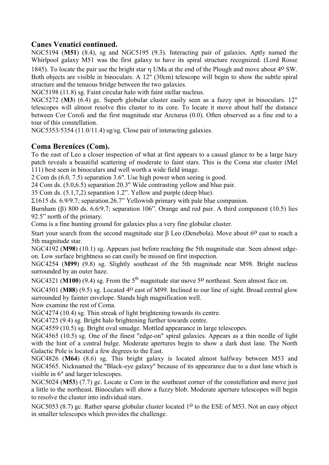#### Canes Venatici continued.

NGC5194 (M51) (8.4), sg and NGC5195 (9.3). Interacting pair of galaxies. Aptly named the Whirlpool galaxy M51 was the first galaxy to have its spiral structure recognized. (Lord Rosse 1845). To locate the pair use the bright star  $\eta$  UMa at the end of the Plough and move about 4<sup>o</sup> SW.

Both objects are visible in binoculars. A 12" (30cm) telescope will begin to show the subtle spiral structure and the tenuous bridge between the two galaxies.

NGC5198 (11.8) sg. Faint circular halo with faint stellar nucleus.

NGC5272 (M3) (6.4) gc. Superb globular cluster easily seen as a fuzzy spot in binoculars. 12" telescopes will almost resolve this cluster to its core. To locate it move about half the distance between Cor Coroli and the first magnitude star Arcturus (0.0). Often observed as a fine end to a tour of this constellation.

NGC5353/5354 (11.0/11.4) sg/sg. Close pair of interacting galaxies.

#### Coma Berenices (Com).

To the east of Leo a closer inspection of what at first appears to a casual glance to be a large hazy patch reveals a beautiful scattering of moderate to faint stars. This is the Coma star cluster (Mel 111) best seen in binoculars and well worth a wide field image.

2 Com ds (6.0, 7.5) separation 3.6". Use high power when seeing is good.

24 Com ds. (5.0,6.5) separation 20.3" Wide contrasting yellow and blue pair.

35 Com ds. (5.1,7,2) separation 1.2". Yellow and purple (deep blue).

 $\Sigma$ 1615 ds. 6.9/9.7; separation.26.7" Yellowish primary with pale blue companion.

Burnham ( $\beta$ ) 800 ds. 6.6/9.7; separation 106". Orange and red pair. A third component (10.5) lies 92.5" north of the primary.

Coma is a fine hunting ground for galaxies plus a very fine globular cluster.

Start your search from the second magnitude star  $\beta$  Leo (Denebola). Move about 6<sup>0</sup> east to reach a 5th magnitude star.

NGC4192 (M98) (10.1) sg. Appears just before reaching the 5th magnitude star. Seen almost edgeon. Low surface brightness so can easily be missed on first inspection.

NGC4254 (M99) (9.8) sg. Slightly southeast of the 5th magnitude near M98. Bright nucleus surrounded by an outer haze.

NGC4321 (M100) (9.4) sg. From the  $5<sup>th</sup>$  magnitude star move 5<sup>o</sup> northeast. Seen almost face on.

NGC4501 (M88) (9.5) sg. Located 4<sup>o</sup> east of M99. Inclined to our line of sight. Broad central glow surrounded by fainter envelope. Stands high magnification well.

Now examine the rest of Coma.

NGC4274 (10.4) sg. Thin streak of light brightening towards its centre.

NGC4725 (9.4) sg. Bright halo brightening further towards centre.

NGC4559 (10.5) sg. Bright oval smudge. Mottled appearance in large telescopes.

NGC4565 (10.5) sg. One of the finest "edge-on" spiral galaxies. Appears as a thin needle of light with the hint of a central bulge. Moderate apertures begin to show a dark dust lane. The North Galactic Pole is located a few degrees to the East.

NGC4826 (M64) (8.6) sg. This bright galaxy is located almost halfway between M53 and NGC4565. Nicknamed the "Black-eye galaxy" because of its appearance due to a dust lane which is visible in 6" and larger telescopes.

NGC5024 (M53) (7.7) gc. Locate  $\alpha$  Com in the southeast corner of the constellation and move just a little to the northeast. Binoculars will show a fuzzy blob. Moderate aperture telescopes will begin to resolve the cluster into individual stars.

NGC5053 (8.7) gc. Rather sparse globular cluster located 1<sup>o</sup> to the ESE of M53. Not an easy object in smaller telescopes which provides the challenge.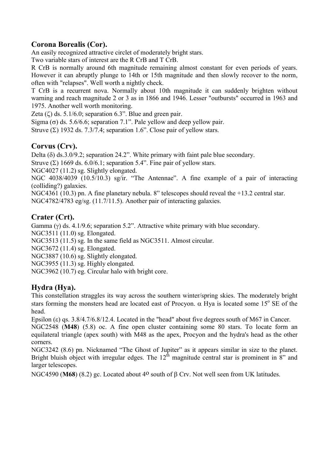# Corona Borealis (Cor).

An easily recognized attractive circlet of moderately bright stars.

Two variable stars of interest are the R CrB and T CrB.

R CrB is normally around 6th magnitude remaining almost constant for even periods of years. However it can abruptly plunge to 14th or 15th magnitude and then slowly recover to the norm, often with "relapses". Well worth a nightly check.

T CrB is a recurrent nova. Normally about 10th magnitude it can suddenly brighten without warning and reach magnitude 2 or 3 as in 1866 and 1946. Lesser "outbursts" occurred in 1963 and 1975. Another well worth monitoring.

Zeta  $(\zeta)$  ds. 5.1/6.0; separation 6.3". Blue and green pair.

Sigma ( $\sigma$ ) ds. 5.6/6.6; separation 7.1". Pale yellow and deep yellow pair.

Struve  $(\Sigma)$  1932 ds. 7.3/7.4; separation 1.6". Close pair of yellow stars.

#### Corvus (Crv).

Delta  $(\delta)$  ds.3.0/9.2; separation 24.2". White primary with faint pale blue secondary.

Struve  $(\Sigma)$  1669 ds. 6.0/6.1; separation 5.4". Fine pair of yellow stars.

NGC4027 (11.2) sg. Slightly elongated.

NGC 4038/4039 (10.5/10.3) sg/ir. "The Antennae". A fine example of a pair of interacting (colliding?) galaxies.

NGC4361 (10.3) pn. A fine planetary nebula. 8" telescopes should reveal the +13.2 central star.

NGC4782/4783 eg/sg. (11.7/11.5). Another pair of interacting galaxies.

# Crater (Crt).

Gamma  $(y)$  ds. 4.1/9.6; separation 5.2". Attractive white primary with blue secondary.

NGC3511 (11.0) sg. Elongated.

NGC3513 (11.5) sg. In the same field as NGC3511. Almost circular.

NGC3672 (11.4) sg. Elongated.

NGC3887 (10.6) sg. Slightly elongated.

NGC3955 (11.3) sg. Highly elongated.

NGC3962 (10.7) eg. Circular halo with bright core.

# Hydra (Hya).

This constellation straggles its way across the southern winter/spring skies. The moderately bright stars forming the monsters head are located east of Procyon.  $\alpha$  Hya is located some 15° SE of the head.

Epsilon ( $\varepsilon$ ) qs. 3.8/4.7/6.8/12.4. Located in the "head" about five degrees south of M67 in Cancer.

NGC2548 (M48) (5.8) oc. A fine open cluster containing some 80 stars. To locate form an equilateral triangle (apex south) with M48 as the apex, Procyon and the hydra's head as the other corners.

NGC3242 (8.6) pn. Nicknamed "The Ghost of Jupiter" as it appears similar in size to the planet. Bright bluish object with irregular edges. The  $12<sup>th</sup>$  magnitude central star is prominent in 8" and larger telescopes.

NGC4590 (M68) (8.2) gc. Located about 4<sup>o</sup> south of  $\beta$  Crv. Not well seen from UK latitudes.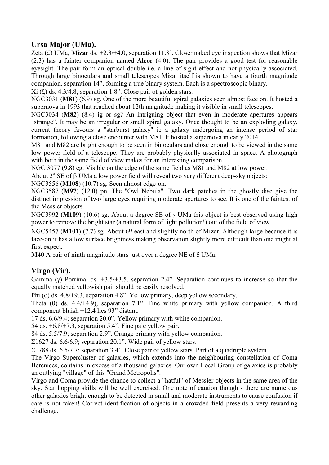# Ursa Major (UMa).

Zeta  $(\zeta)$  UMa, Mizar ds. +2.3/+4.0, separation 11.8'. Closer naked eye inspection shows that Mizar (2.3) has a fainter companion named Alcor (4.0). The pair provides a good test for reasonable eyesight. The pair form an optical double i.e. a line of sight effect and not physically associated. Through large binoculars and small telescopes Mizar itself is shown to have a fourth magnitude companion, separation 14", forming a true binary system. Each is a spectroscopic binary.

 $Xi$  ( $\xi$ ) ds. 4.3/4.8; separation 1.8". Close pair of golden stars.

NGC3031 (M81) (6.9) sg. One of the more beautiful spiral galaxies seen almost face on. It hosted a supernova in 1993 that reached about 12th magnitude making it visible in small telescopes.

NGC3034 (M82) (8.4) ig or sg? An intriguing object that even in moderate apertures appears "strange". It may be an irregular or small spiral galaxy. Once thought to be an exploding galaxy, current theory favours a "starburst galaxy" ie a galaxy undergoing an intense period of star formation, following a close encounter with M81. It hosted a supernova in early 2014.

M81 and M82 are bright enough to be seen in binoculars and close enough to be viewed in the same low power field of a telescope. They are probably physically associated in space. A photograph with both in the same field of view makes for an interesting comparison.

NGC 3077 (9.8) eg. Visible on the edge of the same field as M81 and M82 at low power.

About  $2^{\circ}$  SE of  $\beta$  UMa a low power field will reveal two very different deep-sky objects:

NGC3556 (M108) (10.7) sg. Seen almost edge-on.

NGC3587 (M97) (12.0) pn. The "Owl Nebula". Two dark patches in the ghostly disc give the distinct impression of two large eyes requiring moderate apertures to see. It is one of the faintest of the Messier objects.

NGC3992 (M109) (10.6) sg. About a degree SE of  $\gamma$  UMa this object is best observed using high power to remove the bright star (a natural form of light pollution!) out of the field of view.

NGC5457 (M101) (7.7) sg. About 6<sup>0</sup> east and slightly north of Mizar. Although large because it is face-on it has a low surface brightness making observation slightly more difficult than one might at first expect.

 $M40$  A pair of ninth magnitude stars just over a degree NE of  $\delta$  UMa.

# Virgo (Vir).

Gamma ( $\gamma$ ) Porrima. ds. +3.5/+3.5, separation 2.4". Separation continues to increase so that the equally matched yellowish pair should be easily resolved.

Phi  $(\phi)$  ds. 4.8/+9.3, separation 4.8". Yellow primary, deep yellow secondary.

Theta  $(\theta)$  ds. 4.4/+4.9), separation 7.1". Fine white primary with yellow companion. A third component bluish +12.4 lies 93" distant.

17 ds. 6.6/9.4; separation 20.0". Yellow primary with white companion.

54 ds. +6.8/+7.3, separation 5.4". Fine pale yellow pair.

84 ds. 5.5/7.9; separation 2.9". Orange primary with yellow companion.

 $\Sigma$ 1627 ds. 6.6/6.9; separation 20.1". Wide pair of yellow stars.

 $\Sigma$ 1788 ds. 6.5/7.7; separation 3.4". Close pair of yellow stars. Part of a quadruple system.

The Virgo Supercluster of galaxies, which extends into the neighbouring constellation of Coma Berenices, contains in excess of a thousand galaxies. Our own Local Group of galaxies is probably an outlying "village" of this "Grand Metropolis".

Virgo and Coma provide the chance to collect a "hatful" of Messier objects in the same area of the sky. Star hopping skills will be well exercised. One note of caution though - there are numerous other galaxies bright enough to be detected in small and moderate instruments to cause confusion if care is not taken! Correct identification of objects in a crowded field presents a very rewarding challenge.